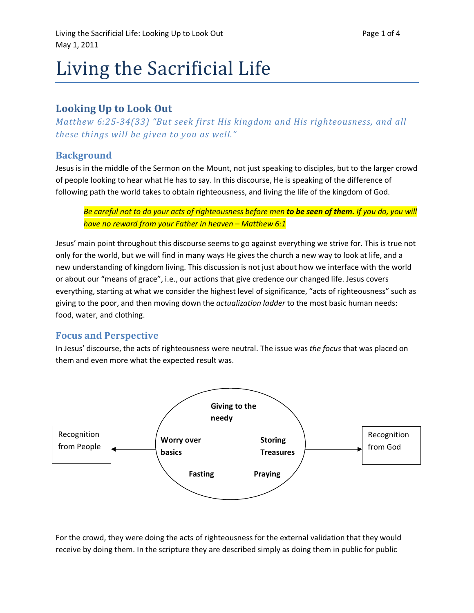# Living the Sacrificial Life

# Looking Up to Look Out

Matthew 6:25-34(33) "But seek first His kingdom and His righteousness, and all these things will be given to you as well."

### **Background**

Jesus is in the middle of the Sermon on the Mount, not just speaking to disciples, but to the larger crowd of people looking to hear what He has to say. In this discourse, He is speaking of the difference of following path the world takes to obtain righteousness, and living the life of the kingdom of God.

Be careful not to do your acts of righteousness before men to be seen of them. If you do, you will have no reward from your Father in heaven – Matthew 6:1

Jesus' main point throughout this discourse seems to go against everything we strive for. This is true not only for the world, but we will find in many ways He gives the church a new way to look at life, and a new understanding of kingdom living. This discussion is not just about how we interface with the world or about our "means of grace", i.e., our actions that give credence our changed life. Jesus covers everything, starting at what we consider the highest level of significance, "acts of righteousness" such as giving to the poor, and then moving down the actualization ladder to the most basic human needs: food, water, and clothing.

#### Focus and Perspective

In Jesus' discourse, the acts of righteousness were neutral. The issue was the focus that was placed on them and even more what the expected result was.



For the crowd, they were doing the acts of righteousness for the external validation that they would receive by doing them. In the scripture they are described simply as doing them in public for public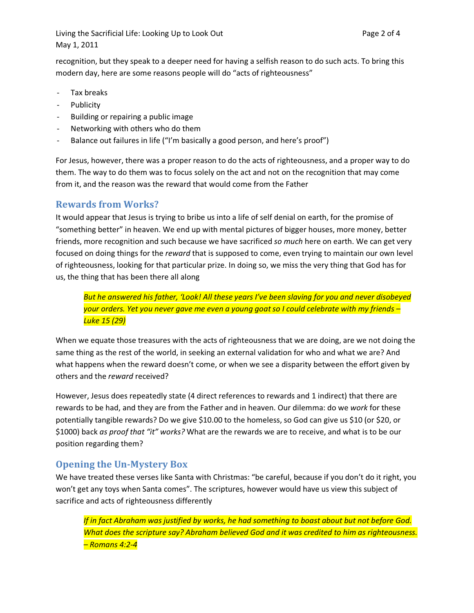Living the Sacrificial Life: Looking Up to Look Out **Page 2 of 4** Page 2 of 4 May 1, 2011

recognition, but they speak to a deeper need for having a selfish reason to do such acts. To bring this modern day, here are some reasons people will do "acts of righteousness"

- Tax breaks
- Publicity
- Building or repairing a public image
- Networking with others who do them
- Balance out failures in life ("I'm basically a good person, and here's proof")

For Jesus, however, there was a proper reason to do the acts of righteousness, and a proper way to do them. The way to do them was to focus solely on the act and not on the recognition that may come from it, and the reason was the reward that would come from the Father

#### Rewards from Works?

It would appear that Jesus is trying to bribe us into a life of self denial on earth, for the promise of "something better" in heaven. We end up with mental pictures of bigger houses, more money, better friends, more recognition and such because we have sacrificed so much here on earth. We can get very focused on doing things for the *reward* that is supposed to come, even trying to maintain our own level of righteousness, looking for that particular prize. In doing so, we miss the very thing that God has for us, the thing that has been there all along

But he answered his father, 'Look! All these years I've been slaving for you and never disobeyed your orders. Yet you never gave me even a young goat so I could celebrate with my friends – Luke 15 (29)

When we equate those treasures with the acts of righteousness that we are doing, are we not doing the same thing as the rest of the world, in seeking an external validation for who and what we are? And what happens when the reward doesn't come, or when we see a disparity between the effort given by others and the reward received?

However, Jesus does repeatedly state (4 direct references to rewards and 1 indirect) that there are rewards to be had, and they are from the Father and in heaven. Our dilemma: do we work for these potentially tangible rewards? Do we give \$10.00 to the homeless, so God can give us \$10 (or \$20, or \$1000) back as proof that "it" works? What are the rewards we are to receive, and what is to be our position regarding them?

## Opening the Un-Mystery Box

We have treated these verses like Santa with Christmas: "be careful, because if you don't do it right, you won't get any toys when Santa comes". The scriptures, however would have us view this subject of sacrifice and acts of righteousness differently

If in fact Abraham was justified by works, he had something to boast about but not before God. What does the scripture say? Abraham believed God and it was credited to him as righteousness. – Romans 4:2-4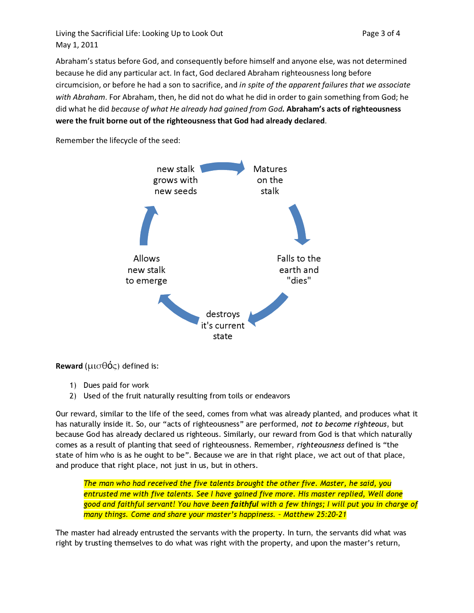Living the Sacrificial Life: Looking Up to Look Out **Page 3 of 4** Page 3 of 4 May 1, 2011

Abraham's status before God, and consequently before himself and anyone else, was not determined because he did any particular act. In fact, God declared Abraham righteousness long before circumcision, or before he had a son to sacrifice, and in spite of the apparent failures that we associate with Abraham. For Abraham, then, he did not do what he did in order to gain something from God; he did what he did because of what He already had gained from God. Abraham's acts of righteousness were the fruit borne out of the righteousness that God had already declared.

Remember the lifecycle of the seed:



Reward ( $\mu\sigma\theta\acute{o}s$ ) defined is:

- 1) Dues paid for work
- 2) Used of the fruit naturally resulting from toils or endeavors

Our reward, similar to the life of the seed, comes from what was already planted, and produces what it has naturally inside it. So, our "acts of righteousness" are performed, not to become righteous, but because God has already declared us righteous. Similarly, our reward from God is that which naturally comes as a result of planting that seed of righteousness. Remember, righteousness defined is "the state of him who is as he ought to be". Because we are in that right place, we act out of that place, and produce that right place, not just in us, but in others.

The man who had received the five talents brought the other five. Master, he said, you entrusted me with five talents. See I have gained five more. His master replied, Well done good and faithful servant! You have been faithful with a few things; I will put you in charge of many things. Come and share your master's happiness. – Matthew 25:20-21

The master had already entrusted the servants with the property. In turn, the servants did what was right by trusting themselves to do what was right with the property, and upon the master's return,